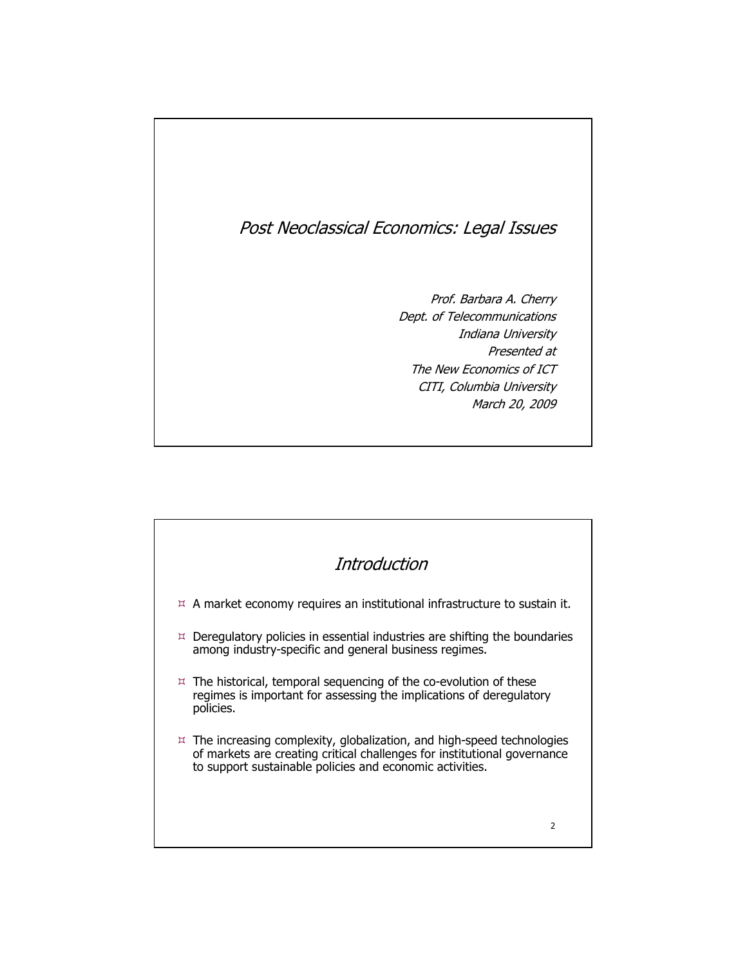## Post Neoclassical Economics: Legal Issues

Prof. Barbara A. Cherry Prof. Barbara A. Cherry Dept. of Telecommunications Dept. of Telecommunications Indiana University Indiana University Presented at Presented at The New Economics of ICT The New Economics of ICT CITI, Columbia University CITI, Columbia University March 20, 2009 March 20, 2009

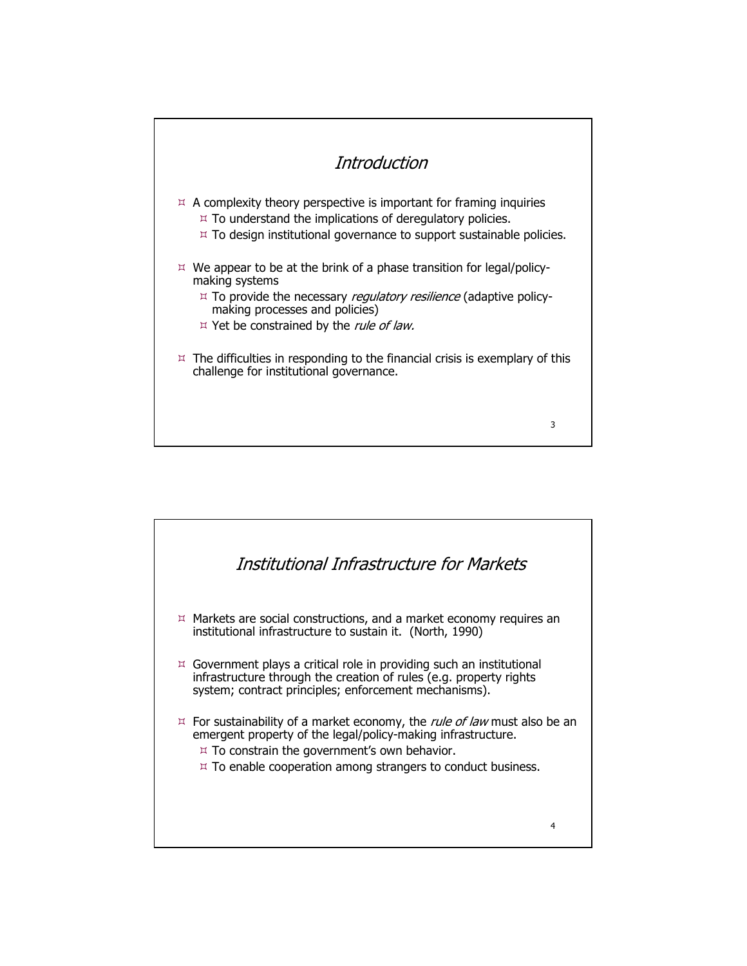

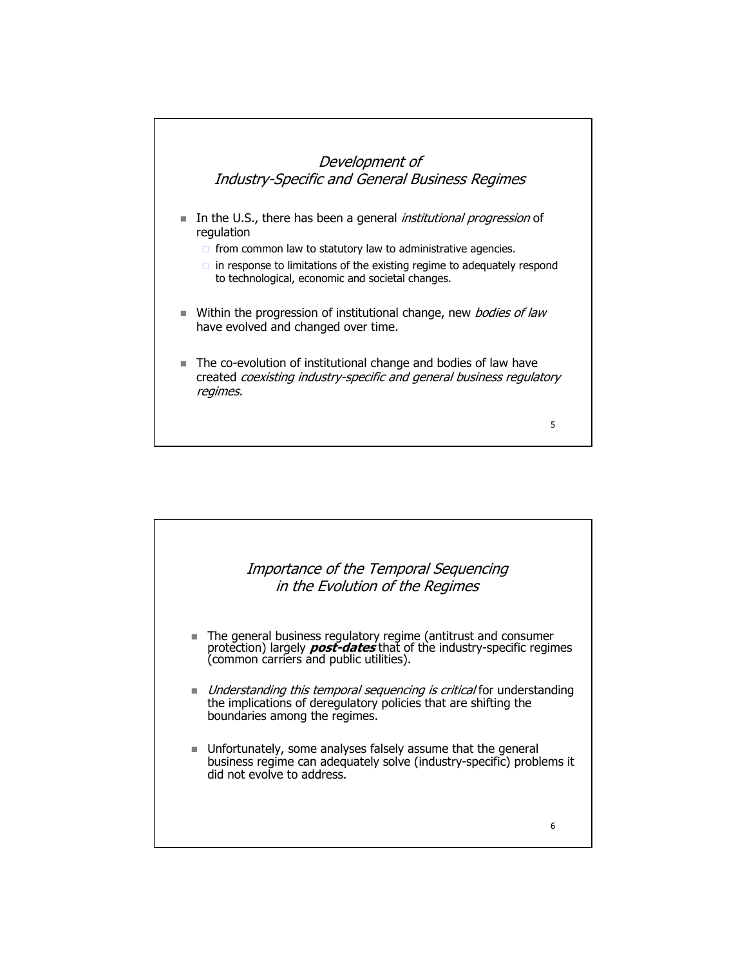

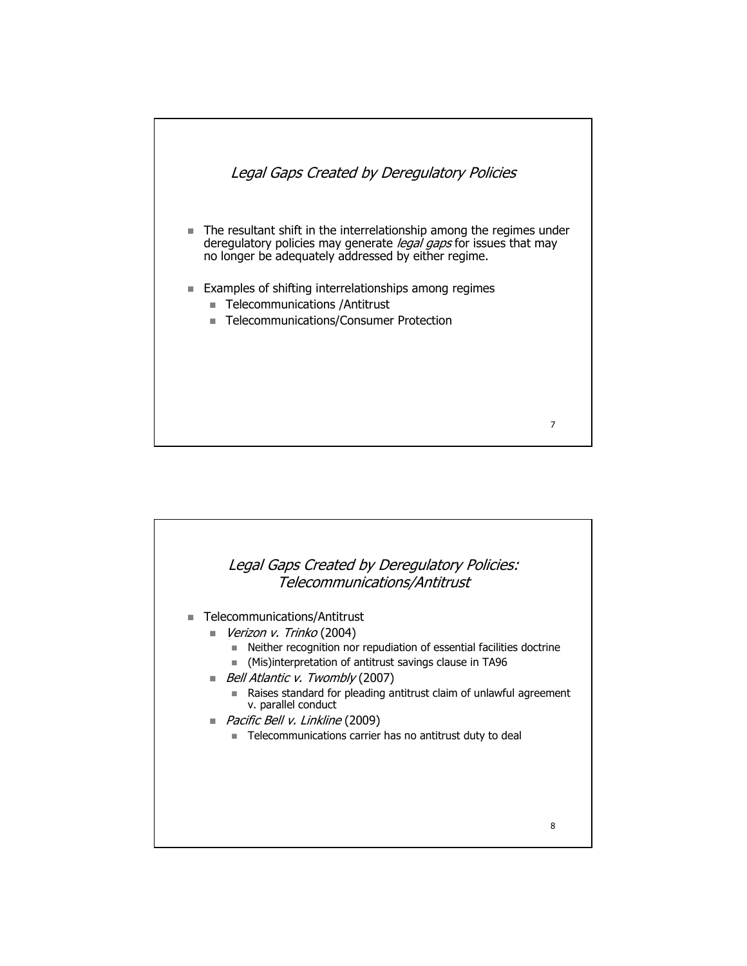

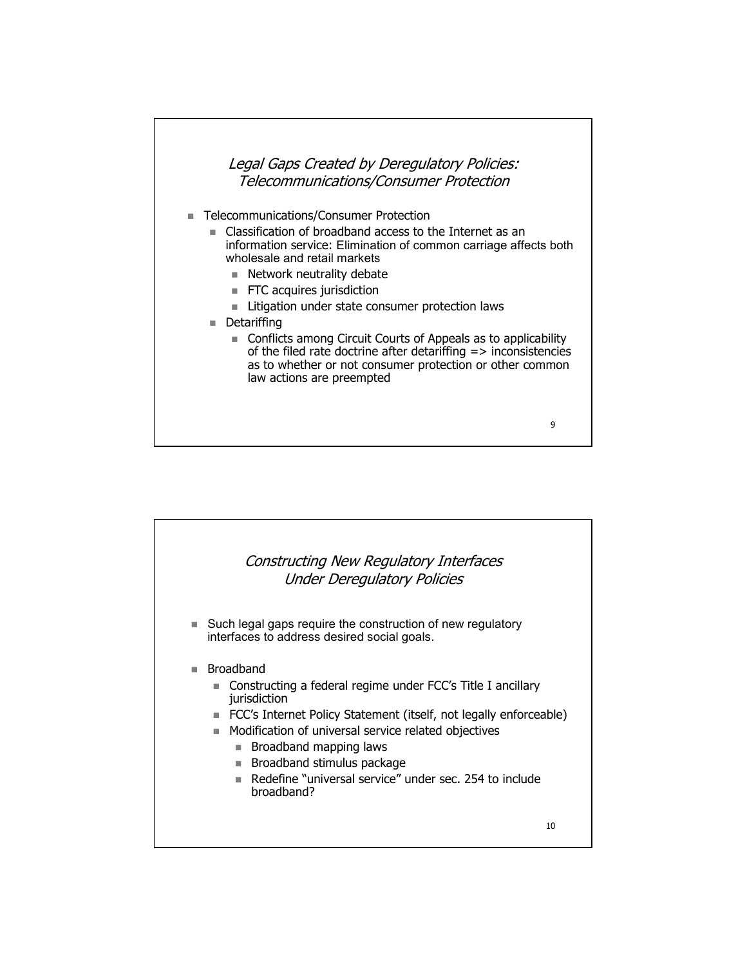### Legal Gaps Created by Deregulatory Policies: Telecommunications/Consumer Protection

- Telecommunications/Consumer Protection
	- - Classification of broadband access to the Internet as an information service: Elimination of common carriage affects both wholesale and retail markets
		- Network neutrality debate
		- **FTC** acquires jurisdiction
		- **EXTE:** Litigation under state consumer protection laws
	- Detariffing
		- Conflicts among Circuit Courts of Appeals as to applicability of the filed rate doctrine after detariffing  $\Rightarrow$  inconsistencies as to whether or not consumer protection or other common law actions are preempted



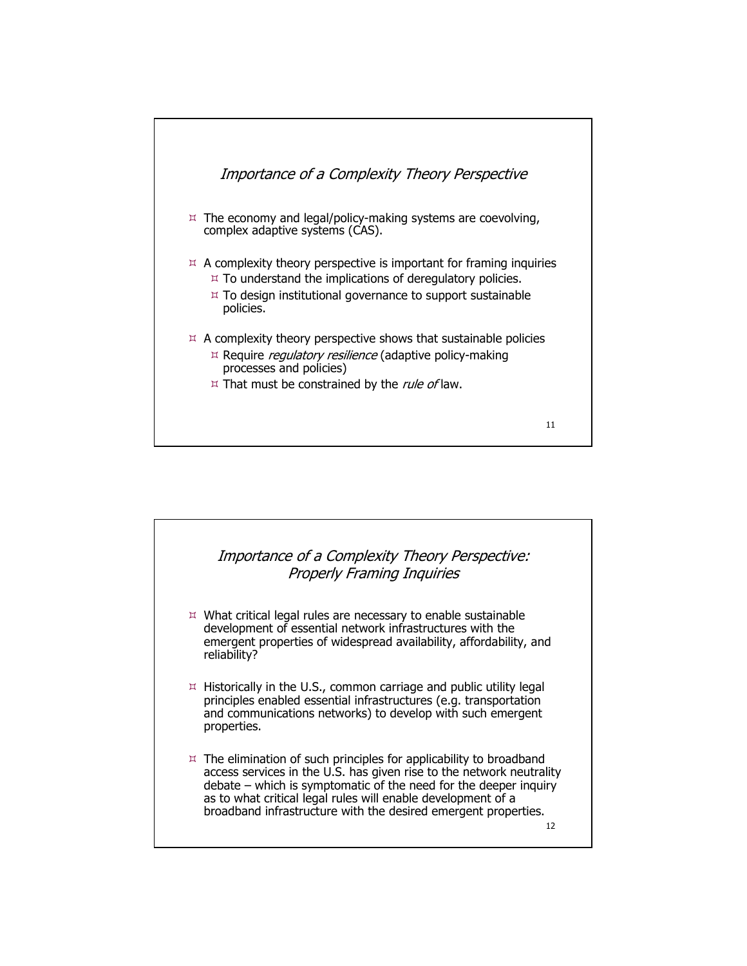

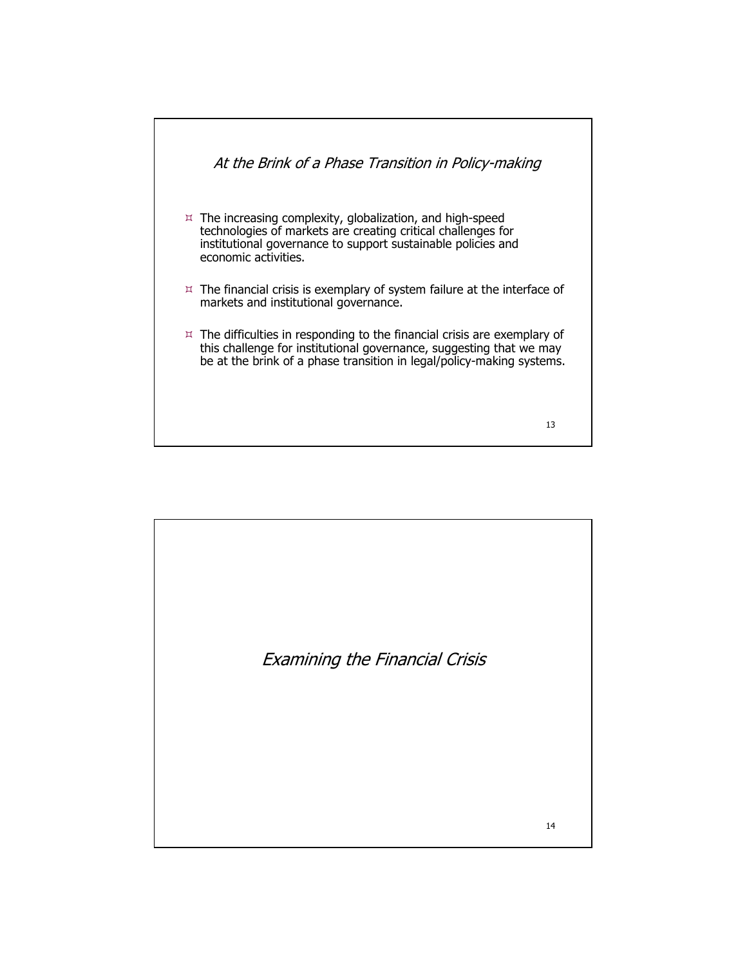

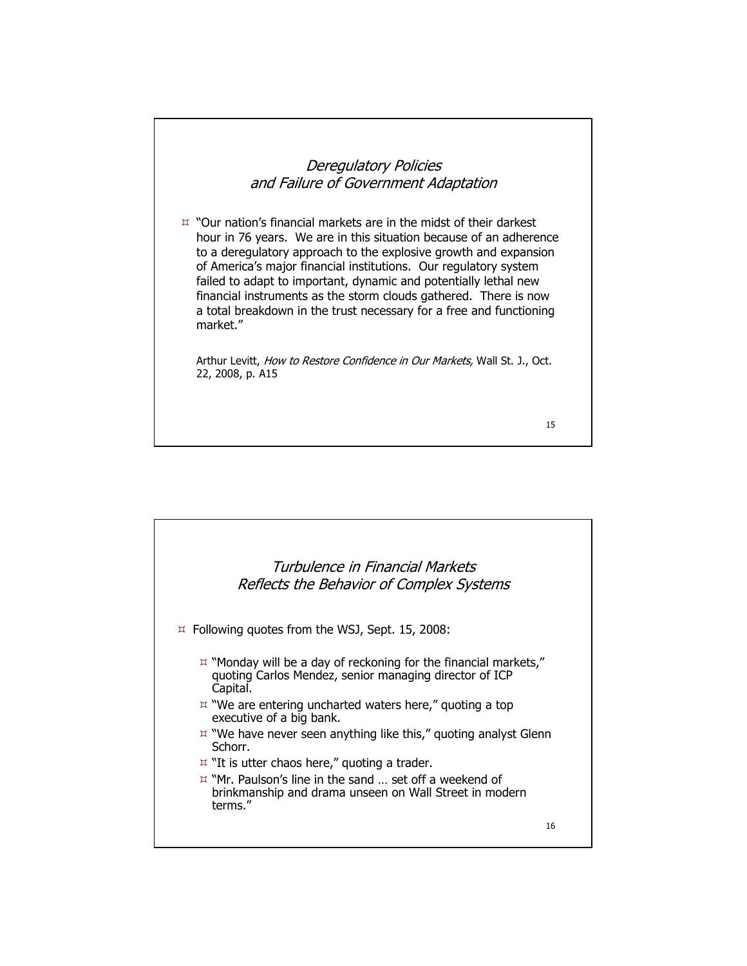#### Deregulatory Policies and Failure of Government Adaptation

 "Our nation's financial markets are in the midst of their darkest "Our nation's financial markets are in the midst of their darkest hour in 76 years. We are in this situation because of an adherence hour in 76 years. We are in this situation because of an adherence to a deregulatory approach to the explosive growth and expansion to a deregulatory approach to the explosive growth and expansion of America's major financial institutions. Our regulatory system of America's major financial institutions. Our regulatory system failed to adapt to important, dynamic and potentially lethal new failed to adapt to important, dynamic and potentially lethal new financial instruments as the storm clouds gathered. There is now financial instruments as the storm clouds gathered. There is now a total breakdown in the trust necessary for a free and functioning a total breakdown in the trust necessary for a free and functioning market." market."

Arthur Levitt, How to Restore Confidence in Our Markets, Wall St. J., Oct. 22, 2008, p. A15 22, 2008, p. A15

15

## 16 Turbulence in Financial Markets Reflects the Behavior of Complex Systems Following quotes from the WSJ, Sept. 15, 2008: Following quotes from the WSJ, Sept. 15, 2008: "Monday will be a day of reckoning for the financial markets," "Monday will be a day of reckoning for the financial markets," quoting Carlos Mendez, senior managing director of ICP quoting Carlos Mendez, senior managing director of ICP Capital. Capital. "We are entering uncharted waters here," quoting a top "We are entering uncharted waters here," quoting a top executive of a big bank. executive of a big bank. "We have never seen anything like this," quoting analyst Glenn "We have never seen anything like this," quoting analyst Glenn Schorr. Schorr.  $\vert x \vert$ "It is utter chaos here," quoting a trader. "Mr. Paulson's line in the sand … set off a weekend of "Mr. Paulson's line in the sand … set off a weekend of brinkmanship and drama unseen on Wall Street in modern brinkmanship and drama unseen on Wall Street in modern terms." terms."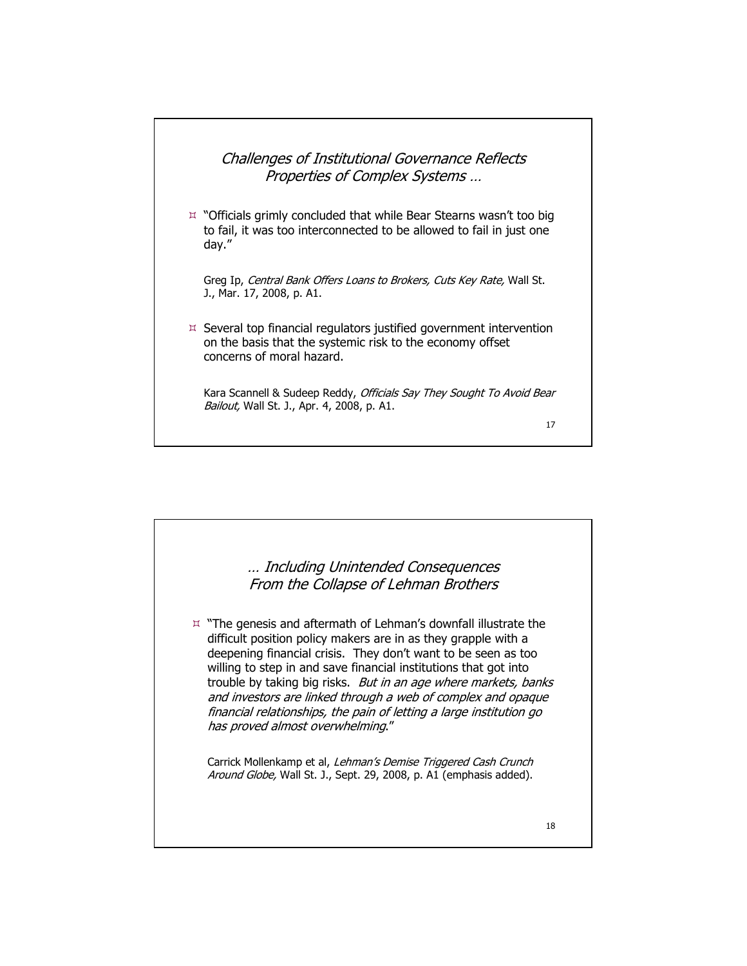# Challenges of Institutional Governance Reflects Properties of Complex Systems … "Officials grimly concluded that while Bear Stearns wasn't too big "Officials grimly concluded that while Bear Stearns wasn't too big to fail, it was too interconnected to be allowed to fail in just one to fail, it was too interconnected to be allowed to fail in just one day." day." Greg Ip, *Central Bank Offers Loans to Brokers, Cuts Key Rate,* Wall St. J., Mar. 17, 2008, p. A1. J., Mar. 17, 2008, p. A1.  $\n *α*$  Several top financial regulators justified government intervention on the basis that the systemic risk to the economy offset concerns of moral hazard. concerns of moral hazard. Kara Scannell & Sudeep Reddy, Officials Say They Sought To Avoid Bear Bailout, Wall St. J., Apr. 4, 2008, p. A1. 17

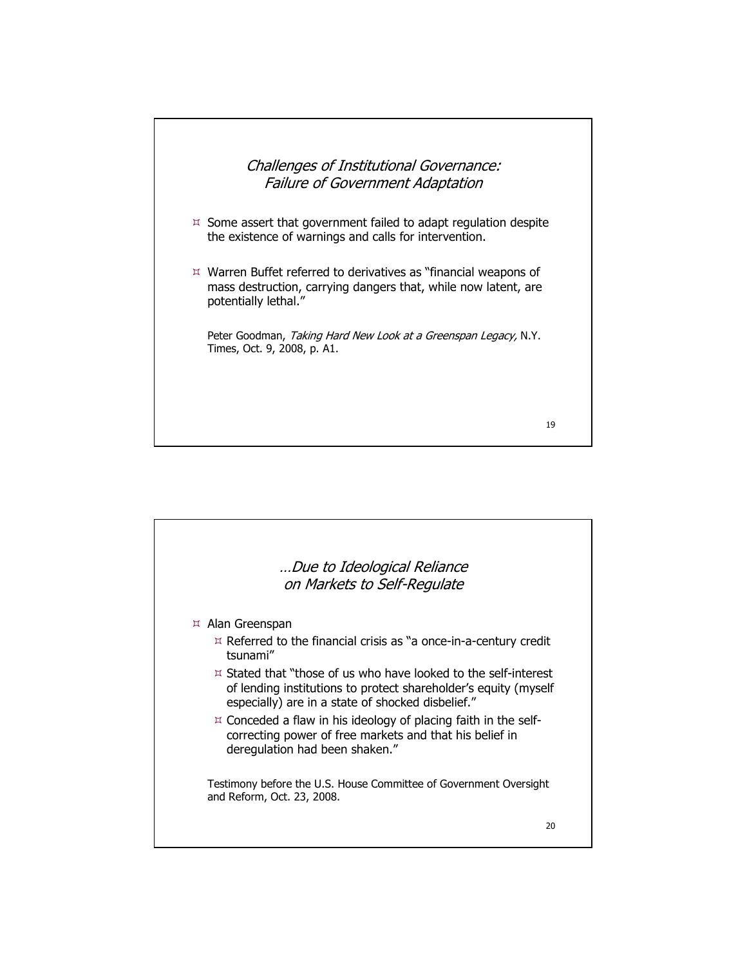

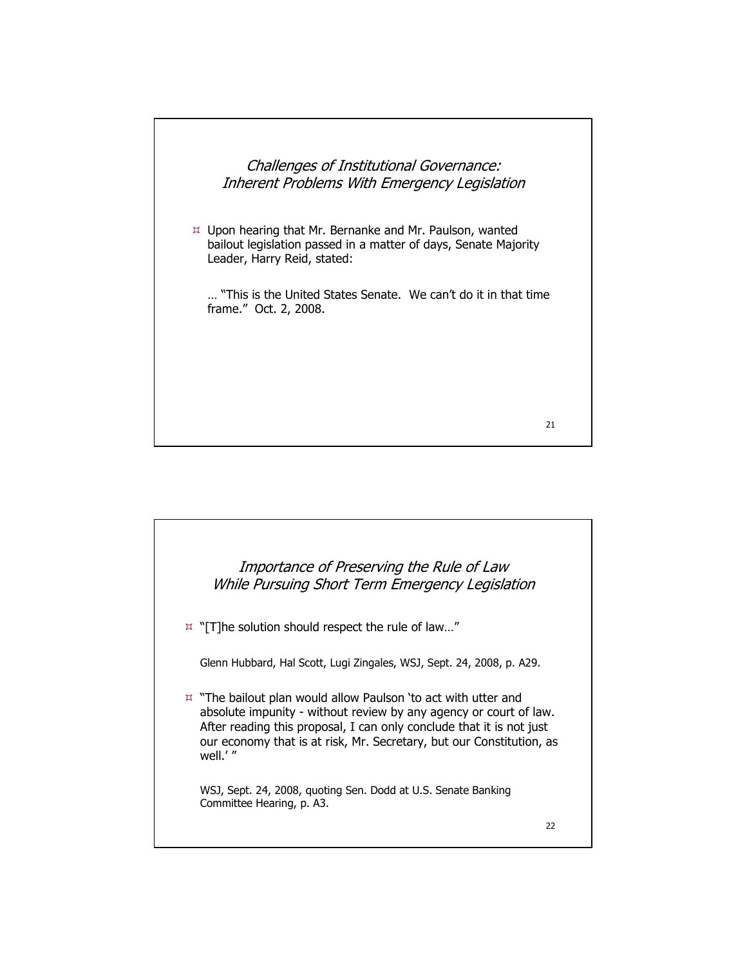Challenges of Institutional Governance: Inherent Problems With Emergency Legislation

 $\not\!\equiv$  Upon hearing that Mr. Bernanke and Mr. Paulson, wanted bailout legislation passed in a matter of days, Senate Majority bailout legislation passed in a matter of days, Senate Majority Leader, Harry Reid, stated: Leader, Harry Reid, stated:

… "This is the United States Senate. We can't do it in that time … "This is the United States Senate. We can't do it in that time frame." Oct. 2, 2008. frame." Oct. 2, 2008.

21